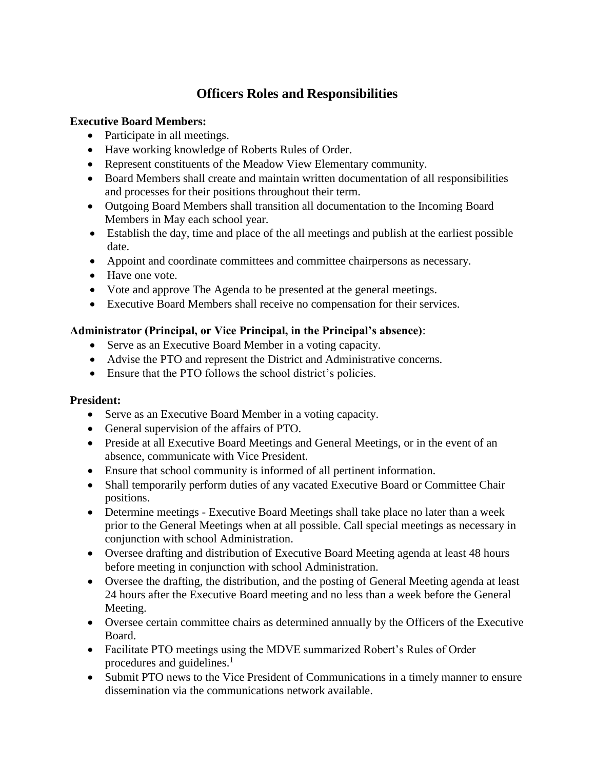# **Officers Roles and Responsibilities**

#### **Executive Board Members:**

- Participate in all meetings.
- Have working knowledge of Roberts Rules of Order.
- Represent constituents of the Meadow View Elementary community.
- Board Members shall create and maintain written documentation of all responsibilities and processes for their positions throughout their term.
- Outgoing Board Members shall transition all documentation to the Incoming Board Members in May each school year.
- Establish the day, time and place of the all meetings and publish at the earliest possible date.
- Appoint and coordinate committees and committee chairpersons as necessary.
- Have one vote.
- Vote and approve The Agenda to be presented at the general meetings.
- Executive Board Members shall receive no compensation for their services.

## **Administrator (Principal, or Vice Principal, in the Principal's absence)**:

- Serve as an Executive Board Member in a voting capacity.
- Advise the PTO and represent the District and Administrative concerns.
- Ensure that the PTO follows the school district's policies.

## **President:**

- Serve as an Executive Board Member in a voting capacity.
- General supervision of the affairs of PTO.
- Preside at all Executive Board Meetings and General Meetings, or in the event of an absence, communicate with Vice President.
- Ensure that school community is informed of all pertinent information.
- Shall temporarily perform duties of any vacated Executive Board or Committee Chair positions.
- Determine meetings Executive Board Meetings shall take place no later than a week prior to the General Meetings when at all possible. Call special meetings as necessary in conjunction with school Administration.
- Oversee drafting and distribution of Executive Board Meeting agenda at least 48 hours before meeting in conjunction with school Administration.
- Oversee the drafting, the distribution, and the posting of General Meeting agenda at least 24 hours after the Executive Board meeting and no less than a week before the General Meeting.
- Oversee certain committee chairs as determined annually by the Officers of the Executive Board.
- Facilitate PTO meetings using the MDVE summarized Robert's Rules of Order procedures and guidelines.<sup>1</sup>
- Submit PTO news to the Vice President of Communications in a timely manner to ensure dissemination via the communications network available.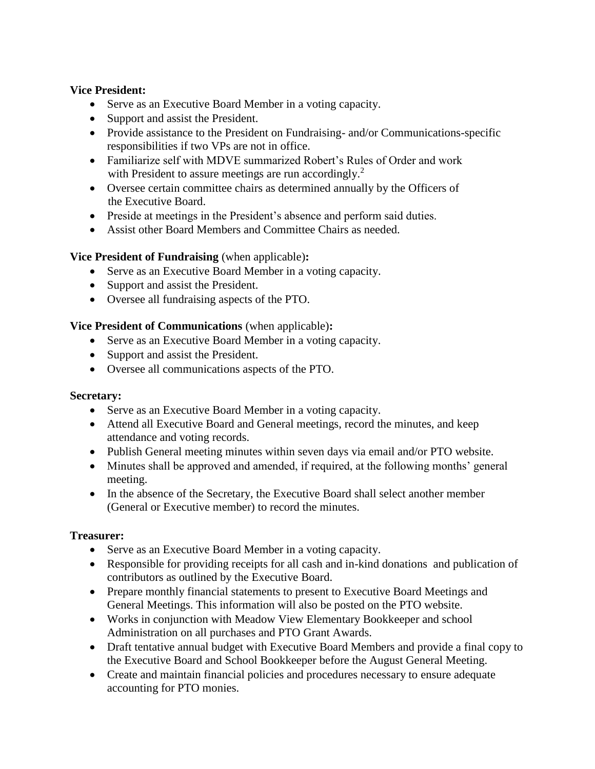#### **Vice President:**

- Serve as an Executive Board Member in a voting capacity.
- Support and assist the President.
- Provide assistance to the President on Fundraising- and/or Communications-specific responsibilities if two VPs are not in office.
- Familiarize self with MDVE summarized Robert's Rules of Order and work with President to assure meetings are run accordingly.<sup>2</sup>
- Oversee certain committee chairs as determined annually by the Officers of the Executive Board.
- Preside at meetings in the President's absence and perform said duties.
- Assist other Board Members and Committee Chairs as needed.

#### **Vice President of Fundraising** (when applicable)**:**

- Serve as an Executive Board Member in a voting capacity.
- Support and assist the President.
- Oversee all fundraising aspects of the PTO.

#### **Vice President of Communications** (when applicable)**:**

- Serve as an Executive Board Member in a voting capacity.
- Support and assist the President.
- Oversee all communications aspects of the PTO.

#### **Secretary:**

- Serve as an Executive Board Member in a voting capacity.
- Attend all Executive Board and General meetings, record the minutes, and keep attendance and voting records.
- Publish General meeting minutes within seven days via email and/or PTO website.
- Minutes shall be approved and amended, if required, at the following months' general meeting.
- In the absence of the Secretary, the Executive Board shall select another member (General or Executive member) to record the minutes.

#### **Treasurer:**

- Serve as an Executive Board Member in a voting capacity.
- Responsible for providing receipts for all cash and in-kind donations and publication of contributors as outlined by the Executive Board.
- Prepare monthly financial statements to present to Executive Board Meetings and General Meetings. This information will also be posted on the PTO website.
- Works in conjunction with Meadow View Elementary Bookkeeper and school Administration on all purchases and PTO Grant Awards.
- Draft tentative annual budget with Executive Board Members and provide a final copy to the Executive Board and School Bookkeeper before the August General Meeting.
- Create and maintain financial policies and procedures necessary to ensure adequate accounting for PTO monies.